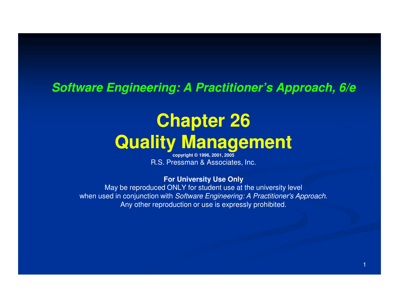### **Software Engineering: A Practitioner's Approach, 6/e**

## **Chapter 26Quality Management**

**copyright © 1996, 2001, 2005**R.S. Pressman & Associates, Inc.

### **For University Use Only**

 May be reproduced ONLY for student use at the university levelwhen used in conjunction with Software Engineering: A Practitioner's Approach. Any other reproduction or use is expressly prohibited.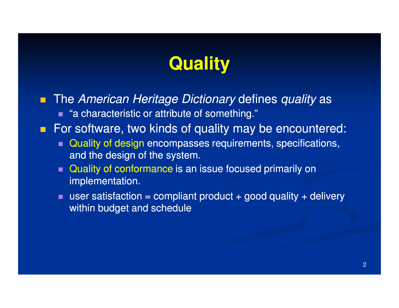## **Quality**

 $\blacksquare$ The American Heritage Dictionary defines quality as ■ "a characteristic or attribute of something."

**For software, two kinds of quality may be encountered:** 

- Quality of design encompasses requirements, specifications, and the design of the system.
- Quality of conformance is an issue focused primarily on implementation.
- user satisfaction = compliant product + good quality + delivery within budget and schedule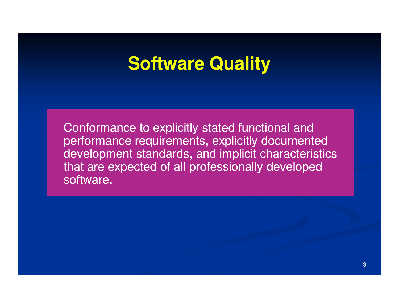## **Software Quality**

Conformance to explicitly stated functional and performance requirements, explicitly documented development standards, and implicit characteristics that are expected of all professionally developed software.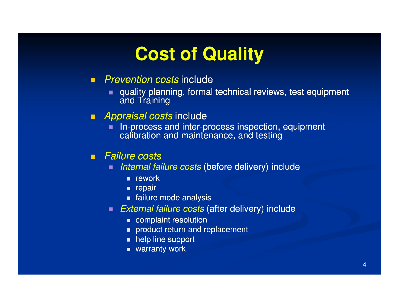## **Cost of Quality**

### ■ *Prevention costs* include

- quality planning, formal technical reviews, test equipment and Training
- *Appraisal costs* include
	- In-process and inter-process inspection, equipment  $\blacksquare$ calibration and maintenance, and testing

### ■ *Failure costs*

- п Internal failure costs (before delivery) include
	- $\blacksquare$  rework
	- **Exercise**
	- failure mode analysis
- $\blacksquare$  External failure costs (after delivery) include
	- **complaint resolution**
	- product return and replacement
	- $\blacksquare$  help line support
	- warranty work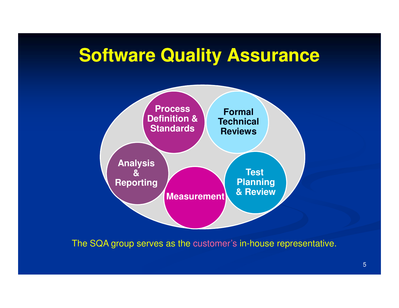## **Software Quality Assurance**



The SQA group serves as the customer's in-house representative.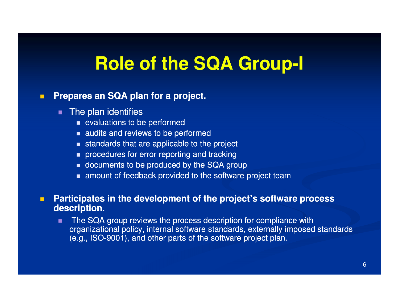# **Role of the SQA Group Group-I**

#### $\blacksquare$ **Prepares an SQA plan for a project.**

- **The plan identifies** 
	- $\quad \bullet$  evaluations to be performed
	- **audits and reviews to be performed**
	- **standards that are applicable to the project**
	- $\quad \blacksquare$  procedures for error reporting and tracking
	- $\blacksquare$  documents to be produced by the SQA group
	- amount of feedback provided to the software project team

#### $\blacksquare$  **Participates in the development of the project's software process description.**

п The SQA group reviews the process description for compliance with organizational policy, internal software standards, externally imposed standards (e.g., ISO-9001), and other parts of the software project plan.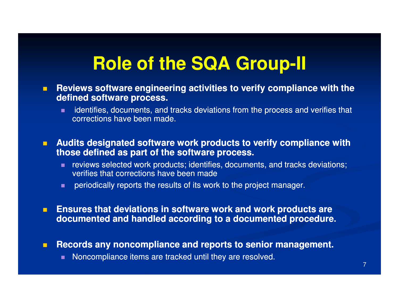# **Role of the SQA Group Group-II**

- $\blacksquare$  **Reviews software engineering activities to verify compliance with the defined software process.**
	- $\blacksquare$  identifies, documents, and tracks deviations from the process and verifies that corrections have been made.
- $\blacksquare$  **Audits designated software work products to verify compliance with those defined as part of the software process.**
	- reviews selected work products; identifies, documents, and tracks deviations; verifies that corrections have been made
	- $\blacksquare$ periodically reports the results of its work to the project manager.
- $\blacksquare$  **Ensures that deviations in software work and work products are documented and handled according to a documented procedure.**
- П **Records any noncompliance and reports to senior management.**
	- Noncompliance items are tracked until they are resolved.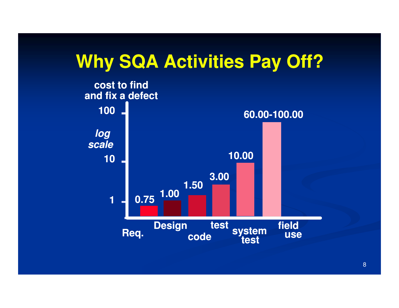## **Why SQA Activities Pay Off?**

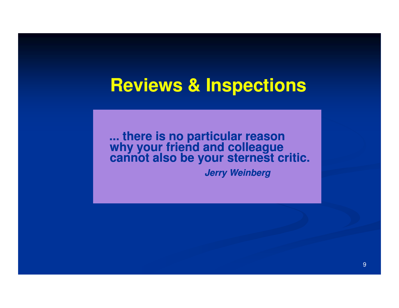## **Reviews & Inspections**

**... there is no particular reason why your friend and colleaguecannot also be your sternest critic.**

**Jerry Weinberg**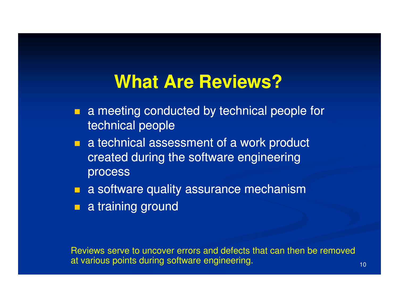## **What Are Reviews?**

- T. a meeting conducted by technical people for technical people
- **a** a technical assessment of a work product created during the software engineering process
- **a** a software quality assurance mechanism
- **a** a training ground

Reviews serve to uncover errors and defects that can then be removed at various points during software engineering.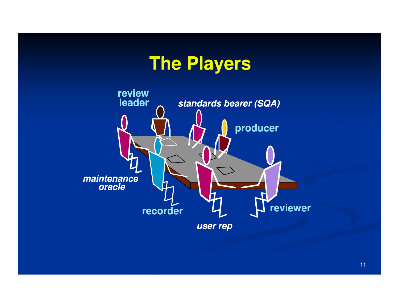## **The Players**

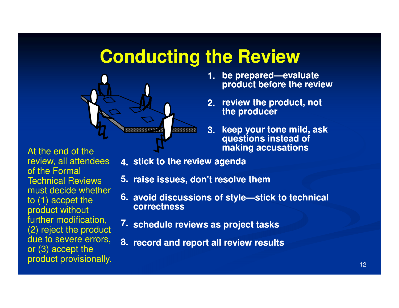## **Conducting the Review**



 **be prepared prepared—evaluate evaluate 1.product before the review**

- **review the product, not 2.the producer**
- **keep your tone mild, ask questions instead of making accusations3.**

At the end of the review, all attendees of the Formal Technical Reviews must decide whether to (1) accpet the product without further modification, (2) reject the product due to severe errors, or (3) accept the product provisionally.

- **stick to the review agenda4.**
- **raise issues, don't resolve them5.**
- **avoid discussions of style style—stick to technical stick 6.correctness**
- **schedule reviews as project tasks7.**
- **record and report all review results8.**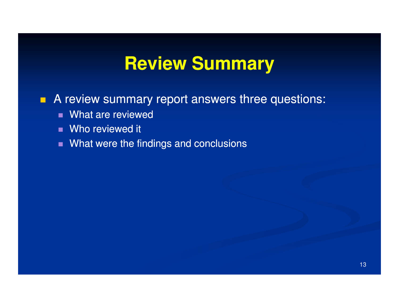## **Review Summary**

### **A review summary report answers three questions:**

- What are reviewed
- Who reviewed it
- What were the findings and conclusions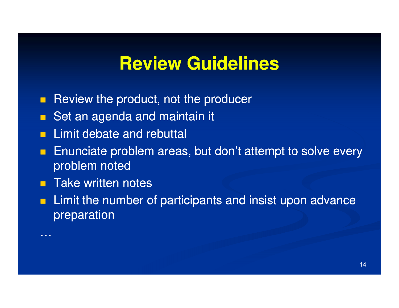## **Review Guidelines**

- $\blacksquare$ Review the product, not the producer
- Set an agenda and maintain it
- $\blacksquare$ Limit debate and rebuttal
- $\blacksquare$  Enunciate problem areas, but don't attempt to solve every problem noted
- **Take written notes**

…

 $\blacksquare$  Limit the number of participants and insist upon advance preparation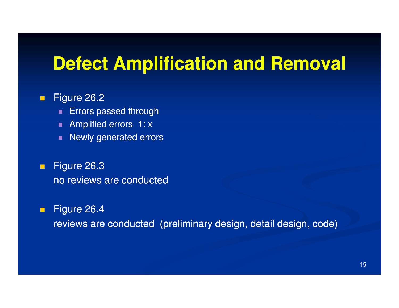## **Defect Amplification and Removal**

#### $\blacksquare$ Figure 26.2

- **Errors passed through**  $\blacksquare$
- **Amplified errors 1: x**
- $\blacksquare$ Newly generated errors
- $\blacksquare$  Figure 26.3 no reviews are conducted

#### $\blacksquare$ Figure 26.4

reviews are conducted (preliminary design, detail design, code)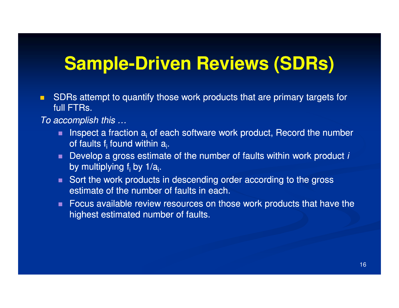## **Sample-Driven Reviews (SDRs)**

п SDRs attempt to quantify those work products that are primary targets for full **FTRs.** 

To accomplish this …

- **Inspect a fraction**  $a_i$  **of each software work product, Record the number**  $\blacksquare$ of faults f<sub>i</sub> found within a<sub>i</sub>.
- **Develop a gross estimate of the number of faults within work product i** by multiplying f<sub>i</sub> by 1/a<sub>i</sub>.
- Sort the work products in descending order according to the gross estimate of the number of faults in each.
- Focus available review resources on those work products that have the highest estimated number of faults.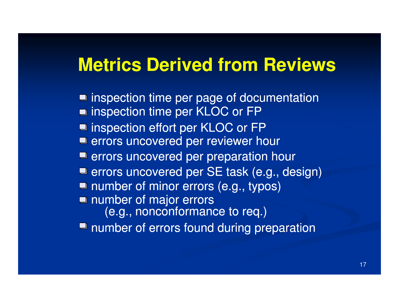## **Metrics Derived from Reviews**

■ inspection time per page of documentation ■ inspection time per KLOC or FP inspection effort per KLOC or FPerrors uncovered per reviewer hour **E** errors uncovered per preparation hour **E** errors uncovered per SE task (e.g., design) **number of minor errors (e.g., typos)** ■ number of errors found during preparation number of major errors (e.g., nonconformance to req.)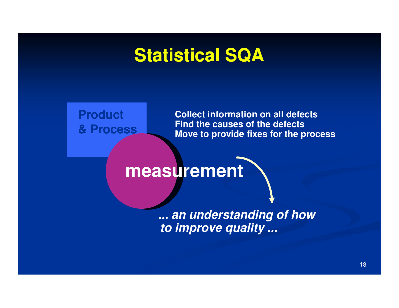## **Statistical SQA**

**Product& Process**

**Collect information on all defectsFind the causes of the defectsMove to provide fixes for the process**

## **measurement**

**... an understanding of how to improve quality ...**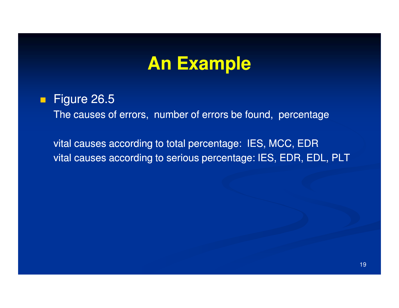## **An Example**

### $\blacksquare$ Figure 26.5

The causes of errors, number of errors be found, percentage

vital causes according to total percentage: IES, MCC, EDRvital causes according to serious percentage: IES, EDR, EDL, PLT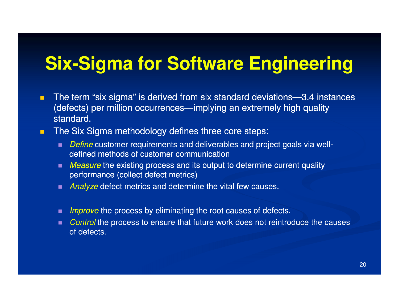# **Six-Sigma for Software Engineering**

- п The term "six sigma" is derived from six standard deviations—3.4 instances (defects) per million occurrences—implying an extremely high quality standard.
- $\blacksquare$  The Six Sigma methodology defines three core steps:
	- $\blacksquare$  Define customer requirements and deliverables and project goals via welldefined methods of customer communication
	- $\blacksquare$  Measure the existing process and its output to determine current quality performance (collect defect metrics)
	- $\quadblacksquare$  Analyze defect metrics and determine the vital few causes.
	- $\blacksquare$  Improve the process by eliminating the root causes of defects.
	- ш. Control the process to ensure that future work does not reintroduce the causes of defects.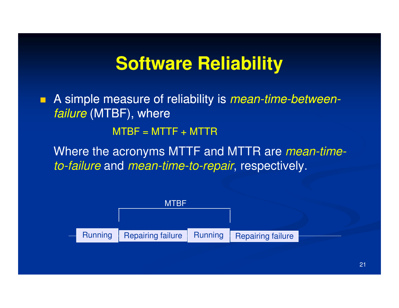## **Software Reliability**

A simple measure of reliability is *mean-time-betweenfailure* (MTBF), where  $MTBF = MTTF + MTTR$ 

Where the acronyms MTTF and MTTR are *mean-time-*

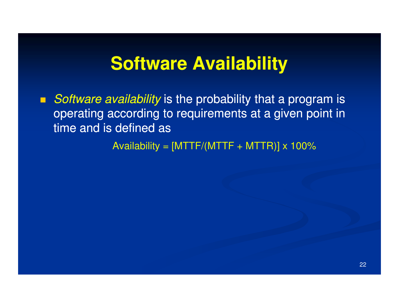## **Software Availability**

Software availability is the probability that a program is operating according to requirements at a given point intime and is defined as

Availability =  $[MTTF/(MTTF + MTTR)] \times 100\%$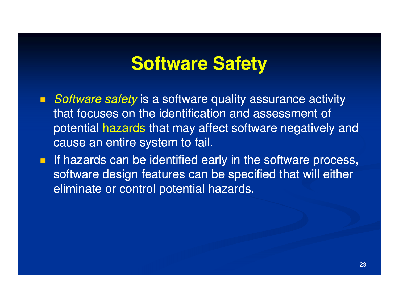## **Software Safety**

- Software safety is a software quality assurance activity that focuses on the identification and assessment of potential hazards that may affect software negatively and cause an entire system to fail.
- **If hazards can be identified early in the software process,** software design features can be specified that will either eliminate or control potential hazards.